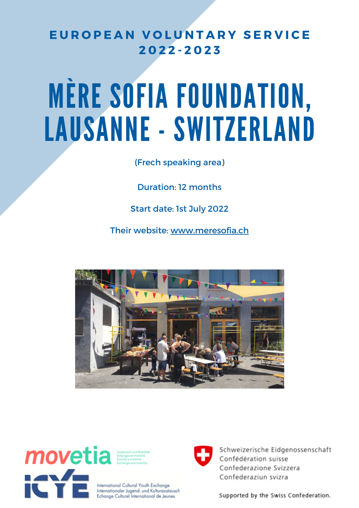# **E U R O P E A N V O L U N T A R Y S E R V I C E 2 0 2 2 - 2 0 2 3**

# MÈRE SOFIA FOUNDATION, LAUSANNE - SWITZERLAND

(Frech speaking area)

Duration: 12 months

Start date: 1st July 2022

Their website: [www.meresofia.ch](https://www.meresofia.ch/)





International Cultural Youth Exchange Internationaler Jugend- und Kulturaustausch Echange Culturel International de Jeunes



Schweizerische Eidgenossenschaft Confédération suisse Confederazione Svizzera Confederaziun svizra

Supported by the Swiss Confederation.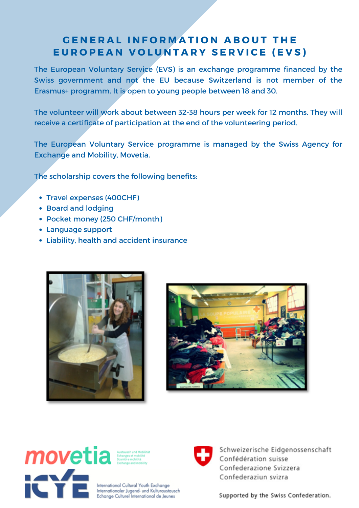## **GENERAL INFORMATION ABOUT THE** EUROPEAN VOLUNTARY SERVICE (EVS)

The European Voluntary Service (EVS) is an exchange programme financed by the Swiss government and not the EU because Switzerland is not member of the Erasmus+ programm. It is open to young people between 18 and 30.

The volunteer will work about between 32-38 hours per week for 12 months. They will receive a certificate of participation at the end of the volunteering period.

The European Voluntary Service programme is managed by the Swiss Agency for Exchange and Mobility, Movetia.

The scholarship covers the following benefits:

- Travel expenses (400CHF)
- Board and lodging
- Pocket money (250 CHF/month)
- Language support
- Liability, health and accident insurance







International Cultural Youth Exchange Internationaler Jugend- und Kulturaustausch Echange Culturel International de Jeunes



Schweizerische Eidgenossenschaft Confédération suisse Confederazione Svizzera Confederaziun svizra

Supported by the Swiss Confederation.